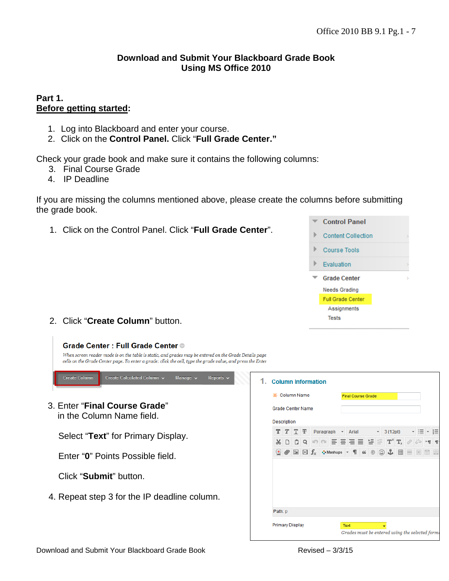#### **Download and Submit Your Blackboard Grade Book Using MS Office 2010**

## **Part 1. Before getting started:**

- 1. Log into Blackboard and enter your course.
- 2. Click on the **Control Panel.** Click "**Full Grade Center."**

Check your grade book and make sure it contains the following columns:

- 3. Final Course Grade
- 4. IP Deadline

If you are missing the columns mentioned above, please create the columns before submitting the grade book.

1. Click on the Control Panel. Click "**Full Grade Center**".



2. Click "**Create Column**" button.

| <b>Create Column</b><br>Create Calculated Column ↓<br>Manage $\sim$<br>Reports $\sim$ | 1. | <b>Column Information</b> |                   |   |         |                                                                                                                                                                                           |  |                           |  |            |  |  |
|---------------------------------------------------------------------------------------|----|---------------------------|-------------------|---|---------|-------------------------------------------------------------------------------------------------------------------------------------------------------------------------------------------|--|---------------------------|--|------------|--|--|
|                                                                                       |    | -X- Column Name           |                   |   |         |                                                                                                                                                                                           |  | <b>Final Course Grade</b> |  |            |  |  |
| 3. Enter "Final Course Grade"                                                         |    | <b>Grade Center Name</b>  |                   |   |         |                                                                                                                                                                                           |  |                           |  |            |  |  |
| in the Column Name field.                                                             |    | <b>Description</b>        |                   |   |         |                                                                                                                                                                                           |  |                           |  |            |  |  |
|                                                                                       |    |                           |                   |   | T Ŧ     | Paragraph - Arial                                                                                                                                                                         |  |                           |  | $-3(12pt)$ |  |  |
| Select "Text" for Primary Display.                                                    |    |                           |                   | Ĥ | $\circ$ | $\circledcirc \mid \Xi \mid \Xi \mid \Xi \mid \Xi \mid \Xi \mid \Xi \mid \mathbf{T}^* \mid \mathbf{T}_\mathbf{x}$                                                                         |  |                           |  |            |  |  |
| Enter "0" Points Possible field.                                                      |    |                           | $\odot$ $\oslash$ |   |         | $\boxed{\underline{\mathbb{Z}}}$ $\boxed{\mathbb{H}}$ $\boxed{\mathbf{f}_x}$ $\div$ Mashups $\div$ $\boxed{\mathbb{H}}$ 66 $\boxed{\mathbb{C}}$ $\boxed{\mathbb{C}}$ $\boxed{\mathbb{H}}$ |  |                           |  |            |  |  |
| Click "Submit" button.                                                                |    |                           |                   |   |         |                                                                                                                                                                                           |  |                           |  |            |  |  |
| 4. Repeat step 3 for the IP deadline column.                                          |    |                           |                   |   |         |                                                                                                                                                                                           |  |                           |  |            |  |  |
|                                                                                       |    | Path: p                   |                   |   |         |                                                                                                                                                                                           |  |                           |  |            |  |  |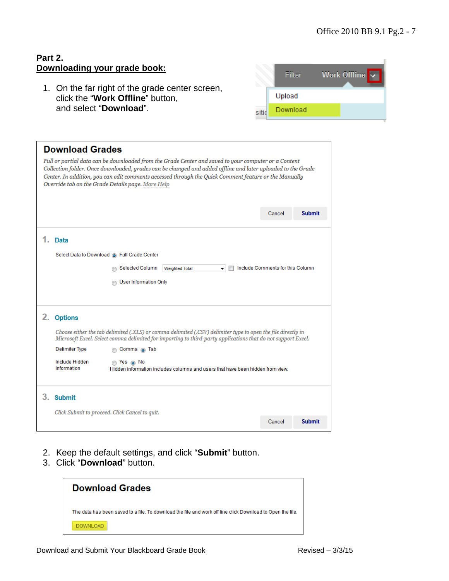$\mathbf{r}$ 

## **Part 2. Downloading your grade book:**

1. On the far right of the grade center screen, click the "**Work Offline**" button, and select "**Download**".

|       | Filter   | Work Offline v |
|-------|----------|----------------|
|       | Upload   |                |
| sitid | Download |                |

| <b>Download Grades</b>                                                                                                                                                                                                                                                                                                                                                                                       |                                  |               |
|--------------------------------------------------------------------------------------------------------------------------------------------------------------------------------------------------------------------------------------------------------------------------------------------------------------------------------------------------------------------------------------------------------------|----------------------------------|---------------|
| Full or partial data can be downloaded from the Grade Center and saved to your computer or a Content<br>Collection folder. Once downloaded, grades can be changed and added offline and later uploaded to the Grade<br>Center. In addition, you can edit comments accessed through the Quick Comment feature or the Manually<br>Override tab on the Grade Details page. More Help                            |                                  |               |
|                                                                                                                                                                                                                                                                                                                                                                                                              | Cancel                           | <b>Submit</b> |
| 1. Data<br>Select Data to Download @ Full Grade Center<br>Selected Column<br><b>Weighted Total</b><br><b>User Information Only</b>                                                                                                                                                                                                                                                                           | Include Comments for this Column |               |
| 2. Options<br>Choose either the tab delimited (XLS) or comma delimited (.CSV) delimiter type to open the file directly in<br>Microsoft Excel. Select comma delimited for importing to third-party applications that do not support Excel.<br>Delimiter Type<br>Comma @ Tab<br>Include Hidden<br>n Yes no No<br>Information<br>Hidden information includes columns and users that have been hidden from view. |                                  |               |
| 3. Submit<br>Click Submit to proceed. Click Cancel to quit.                                                                                                                                                                                                                                                                                                                                                  | Cancel                           | <b>Submit</b> |

- 2. Keep the default settings, and click "**Submit**" button.
- 3. Click "**Download**" button.

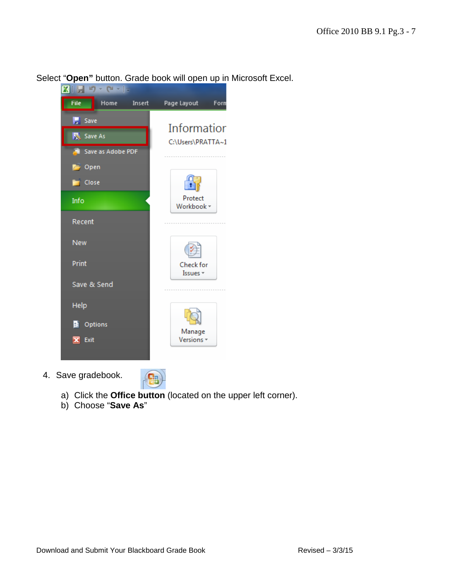Select "**Open**" button. Grade book will open up in Microsoft Excel.<br> **KILLENTING CONTENT** 



4. Save gradebook.



- a) Click the **Office button** (located on the upper left corner).
- b) Choose "**Save As**"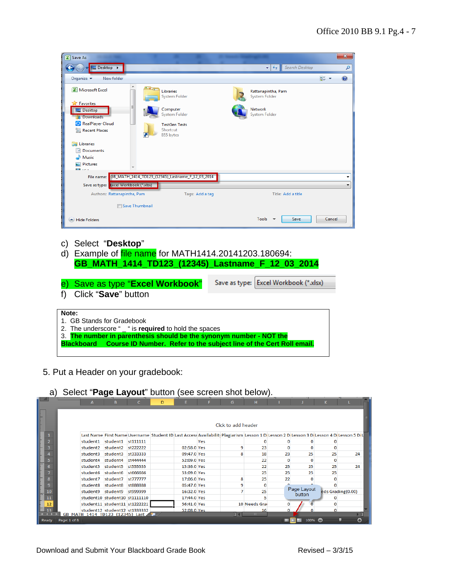| X Save As                                              |                                                                                   |                                               | $\mathbf{x}$ |
|--------------------------------------------------------|-----------------------------------------------------------------------------------|-----------------------------------------------|--------------|
| Desktop ▶                                              |                                                                                   | Search Desktop<br>$+$<br>$\blacktriangledown$ | م            |
| New folder<br>Organize $\blacktriangledown$            |                                                                                   | 등 -                                           | $\odot$      |
| Microsoft Excel                                        | $\overline{\mathcal{L}_{\text{max}}}$<br><b>Libraries</b><br><b>System Folder</b> | Rattanapintha, Pam<br>System Folder           |              |
| <b>X</b> Favorites<br>Ξ<br>Desktop<br><b>Downloads</b> | Computer<br>System Folder                                                         | <b>Network</b><br>System Folder               |              |
| RealPlayer Cloud<br>Recent Places                      | <b>TestGen Tests</b><br>Shortcut<br>$\overline{\mathbf{a}}$<br>855 bytes          |                                               |              |
| Libraries<br>ы<br>Documents                            |                                                                                   |                                               |              |
| Music<br>Pictures<br><b>Sunt Lines</b>                 |                                                                                   |                                               |              |
|                                                        | File name: GB_MATH_1414_TD123_(12345)_Lastname_F_12_03_2014                       |                                               |              |
| Save as type: Excel Workbook (*.xlsx)                  |                                                                                   |                                               | ▼            |
| Authors: Rattanapintha, Pam                            | Tags: Add a tag                                                                   | Title: Add a title                            |              |
| Save Thumbnail                                         |                                                                                   |                                               |              |
| Hide Folders                                           |                                                                                   | Tools<br>Save                                 | Cancel       |

- c) Select "**Desktop**"
- d) Example of file name for MATH1414.20141203.180694: **GB\_MATH\_1414\_TD123\_(12345)\_Lastname\_F\_12\_03\_2014**

e) Save as type "**Excel Workbook**"

Save as type: Excel Workbook (\*.xlsx)

f) Click "**Save**" button

**Note:** 

- 1. GB Stands for Gradebook
- 2. The underscore " \_ " is **required** to hold the spaces
- 3. **The number in parenthesis should be the synonym number - NOT the Blackboard Course ID Number. Refer to the subject line of the Cert Roll email.**
- 5. Put a Header on your gradebook:

|                |              | A        | B                               | C.       | D | E.          | F   | G                                                                                                                                          | н            |             |                       | К                            |                   |
|----------------|--------------|----------|---------------------------------|----------|---|-------------|-----|--------------------------------------------------------------------------------------------------------------------------------------------|--------------|-------------|-----------------------|------------------------------|-------------------|
|                |              |          |                                 |          |   |             |     |                                                                                                                                            |              |             |                       |                              |                   |
|                |              |          |                                 |          |   |             |     |                                                                                                                                            |              |             |                       |                              |                   |
|                |              |          |                                 |          |   |             |     | Click to add header                                                                                                                        |              |             |                       |                              |                   |
|                |              |          |                                 |          |   |             |     | Last Name First Name Username Student ID Last Access Availability Plagiarism Lesson 1 Di Lesson 2 Di Lesson 3 Di Lesson 4 Di Lesson 5 Di L |              |             |                       |                              |                   |
|                |              |          |                                 |          |   |             |     |                                                                                                                                            |              |             |                       |                              |                   |
| $\overline{2}$ |              | student1 | student1 st111111               |          |   |             | Yes |                                                                                                                                            |              |             |                       |                              |                   |
| 3              |              | student2 | student2                        | st222222 |   | 02:58.0 Yes |     | 9                                                                                                                                          | 23           | 0           | $\Omega$              |                              |                   |
| 4              |              | student3 | student3                        | st333333 |   | 09:47.0 Yes |     | 8                                                                                                                                          | 18           | 23          | 25                    | 25                           | 24                |
| 5.             |              | student4 | student4                        | st444444 |   | 52:09.0 Yes |     |                                                                                                                                            | 22           | $\mathbf 0$ | 0                     |                              |                   |
| 6              |              | student5 | student5                        | st555555 |   | 15:36.0 Yes |     |                                                                                                                                            | 22           | 25          | 25                    | 25                           | 24                |
| 7              |              | student6 | student6                        | st666666 |   | 53:09.0 Yes |     |                                                                                                                                            | 25           | 25          | 25                    | 25                           |                   |
| 8              |              | student7 | student7                        | st777777 |   | 17:06.0 Yes |     | 8                                                                                                                                          | 25           | 22          | $\Omega$              |                              |                   |
| 9              |              | student8 | student8                        | st888888 |   | 05:47.0 Yes |     | 9                                                                                                                                          |              |             |                       |                              |                   |
| 10             |              | student9 | student9 st999999               |          |   | 16:32.0 Yes |     |                                                                                                                                            | 25           |             | Page Layout<br>button |                              | eds Grading(0.00) |
| 11             |              |          | student10 student10 st11111110  |          |   | 17:44.0 Yes |     |                                                                                                                                            | 5            |             |                       |                              |                   |
| 12             |              |          | student11 student11 st1222221   |          |   | 56:41.0 Yes |     |                                                                                                                                            | 10 Needs Gra |             |                       |                              |                   |
| 13             |              |          | student12 student12 st1333332   |          |   | 52:08.0 Yes |     |                                                                                                                                            | 16           |             |                       |                              |                   |
|                |              |          | GB MATH 1414 TD123 (12345) Last |          |   |             |     | 日本                                                                                                                                         | III.         |             |                       |                              | > ⊡               |
| Ready          | Page: 1 of 8 |          |                                 |          |   |             |     |                                                                                                                                            |              |             | ш                     | $100\%$ $\qquad \qquad \Box$ | $\bullet$         |

a) Select "**Page Layout**" button (see screen shot below).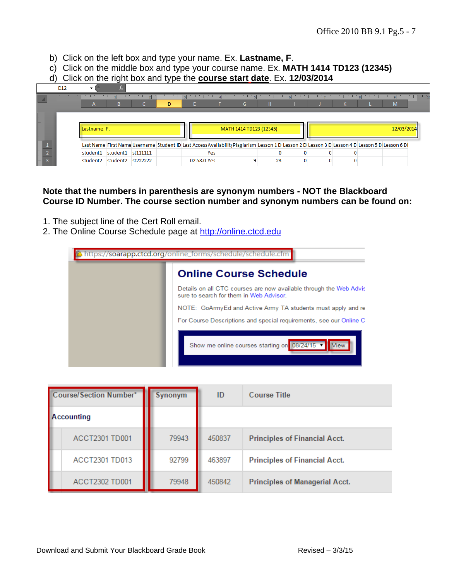- b) Click on the left box and type your name. Ex. **Lastname, F**.
- c) Click on the middle box and type your course name. Ex. **MATH 1414 TD123 (12345)**
- d) Click on the right box and type the **course start date**. Ex. **12/03/2014**

|  | D <sub>12</sub> |                            |  |    |             |     |                                                                                                                                                            |    |  |  |            |  |
|--|-----------------|----------------------------|--|----|-------------|-----|------------------------------------------------------------------------------------------------------------------------------------------------------------|----|--|--|------------|--|
|  |                 |                            |  | D. |             |     | G.                                                                                                                                                         | н  |  |  | M          |  |
|  |                 | Lastname, F.               |  |    |             |     | MATH 1414 TD123 (12345)                                                                                                                                    |    |  |  | 12/03/2014 |  |
|  |                 | student1 student1 st111111 |  |    |             | Yes | Last Name First Name Username Student ID Last Access Availability Plagiarism Lesson 1 DiLesson 2 DiLesson 3 DiLesson 4 DiLesson 5 DiLesson 5 DiLesson 6 Di |    |  |  |            |  |
|  |                 | student2 student2 st222222 |  |    | 02:58.0 Yes |     |                                                                                                                                                            | 23 |  |  |            |  |

**Note that the numbers in parenthesis are synonym numbers - NOT the Blackboard Course ID Number. The course section number and synonym numbers can be found on:**

- 1. The subject line of the Cert Roll email.
- 2. The Online Course Schedule page at [http://online.ctcd.edu](http://online.ctcd.edu/)



| Course/Section Number* | <b>Synonym</b> | ID     | <b>Course Title</b>                   |
|------------------------|----------------|--------|---------------------------------------|
| Accounting             |                |        |                                       |
| ACCT2301 TD001         | 79943          | 450837 | <b>Principles of Financial Acct.</b>  |
| ACCT2301 TD013         | 92799          | 463897 | <b>Principles of Financial Acct.</b>  |
| ACCT2302 TD001         | 79948          | 450842 | <b>Principles of Managerial Acct.</b> |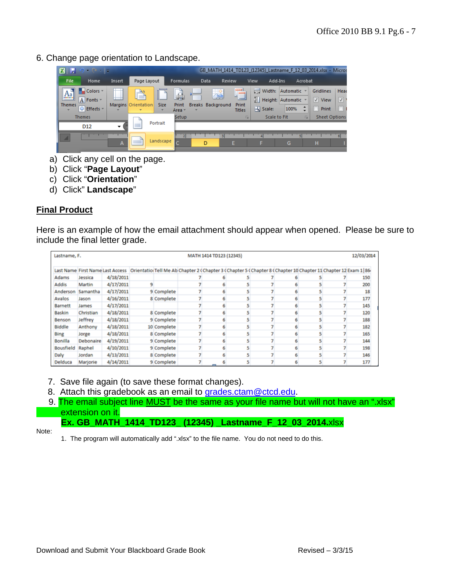6. Change page orientation to Landscape.

| $\bullet$ $\alpha$ $\bullet$ $\alpha$<br>KIH                                                                           |                          |                                                 |                 | GB MATH 1414 TD123 (12345) Lastname F 12 03 2014.xlsx - Micros |                    |                                  |                                            |                                                   |                   |
|------------------------------------------------------------------------------------------------------------------------|--------------------------|-------------------------------------------------|-----------------|----------------------------------------------------------------|--------------------|----------------------------------|--------------------------------------------|---------------------------------------------------|-------------------|
| File<br>Home                                                                                                           | Insert                   | Page Layout                                     | Formulas        | Data<br>Review                                                 |                    | View                             | Add-Ins<br>Acrobat                         |                                                   |                   |
| $\blacksquare$ Colors $\blacktriangleright$<br>A <sub>a</sub><br>A Fonts<br><b>Themes</b><br>$\bigcirc$ Effects $\ast$ |                          | گ<br>le t<br>Margins Orientation<br><b>Size</b> | 틐<br>Print      | $\mathring{\mathbb{Z}}$<br><b>Breaks Background</b>            | 暈<br>Print         | $\Box$ Width:<br><b>J</b> Scale: | Automatic<br>F   Height: Automatic<br>100% | <b>Gridlines</b><br>$\sqrt{ }$ View<br>П<br>Print | Head<br>$\sqrt{}$ |
| $\mathbf{v}$<br><b>Themes</b>                                                                                          |                          | ×                                               | Area *<br>Setup |                                                                | <b>Titles</b><br>园 | <b>Scale to Fit</b>              |                                            | <b>Sheet Options</b><br>园                         |                   |
| D <sub>12</sub>                                                                                                        | $\overline{\phantom{a}}$ | Portrait<br>≡                                   |                 |                                                                |                    |                                  |                                            |                                                   |                   |
|                                                                                                                        | А                        | Landscape                                       | Ċ               | D                                                              | E.                 |                                  | G.                                         | н                                                 | 61                |

- a) Click any cell on the page.
- b) Click "**Page Layout**"
- c) Click "**Orientation**"
- d) Click" **Landscape**"

# **Final Product**

Here is an example of how the email attachment should appear when opened. Please be sure to include the final letter grade.

| Lastname, F.     |           |                                                                                                                                               |   |             |  | 12/03/2014 |   |  |  |     |
|------------------|-----------|-----------------------------------------------------------------------------------------------------------------------------------------------|---|-------------|--|------------|---|--|--|-----|
|                  |           | Last Name First Name Last Access Orientatio Tell Me Ab Chapter 2 (Chapter 3 (Chapter 5 (Chapter 8 (Chapter 10 Chapter 11 Chapter 12 Exam 1 86 |   |             |  |            |   |  |  |     |
| Adams            | Jessica   | 4/18/2011                                                                                                                                     |   |             |  |            |   |  |  | 150 |
| Addis            | Martin    | 4/17/2011                                                                                                                                     | ۹ |             |  |            | 6 |  |  | 200 |
| Anderson         | Samantha  | 4/17/2011                                                                                                                                     |   | 9 Complete  |  |            | 6 |  |  | 18  |
| Avalos           | Jason     | 4/16/2011                                                                                                                                     |   | 8 Complete  |  |            | 6 |  |  | 177 |
| <b>Barnett</b>   | James     | 4/17/2011                                                                                                                                     |   |             |  |            | 6 |  |  | 145 |
| Baskin           | Christian | 4/18/2011                                                                                                                                     |   | 8 Complete  |  |            | 6 |  |  | 120 |
| Benson           | Jeffrey   | 4/18/2011                                                                                                                                     |   | 9 Complete  |  |            | 6 |  |  | 188 |
| Biddle           | Anthony   | 4/18/2011                                                                                                                                     |   | 10 Complete |  |            | 6 |  |  | 182 |
| Bing             | Jorge     | 4/18/2011                                                                                                                                     |   | 8 Complete  |  |            | 6 |  |  | 165 |
| Bonilla          | Debonaire | 4/19/2011                                                                                                                                     |   | 9 Complete  |  |            | 6 |  |  | 144 |
| <b>Bousfield</b> | Raphel    | 4/10/2011                                                                                                                                     |   | 9 Complete  |  |            | 6 |  |  | 198 |
| Daly             | Jordan    | 4/13/2011                                                                                                                                     |   | 8 Complete  |  |            | 6 |  |  | 146 |
| Delduca          | Marjorie  | 4/14/2011                                                                                                                                     |   | 9 Complete  |  |            | 6 |  |  | 177 |

- 7. Save file again (to save these format changes).
- 8. Attach this gradebook as an email to [grades.ctam@ctcd.edu.](mailto:grades.ctam@ctcd.edu)
- 9. The email subject line MUST be the same as your file name but will not have an ".xlsx" extension on it. **Ex. GB\_MATH\_1414\_TD123\_ (12345) \_Lastname\_F\_12\_03\_2014.**xlsx

#### Note:

1. The program will automatically add ".xlsx" to the file name. You do not need to do this.